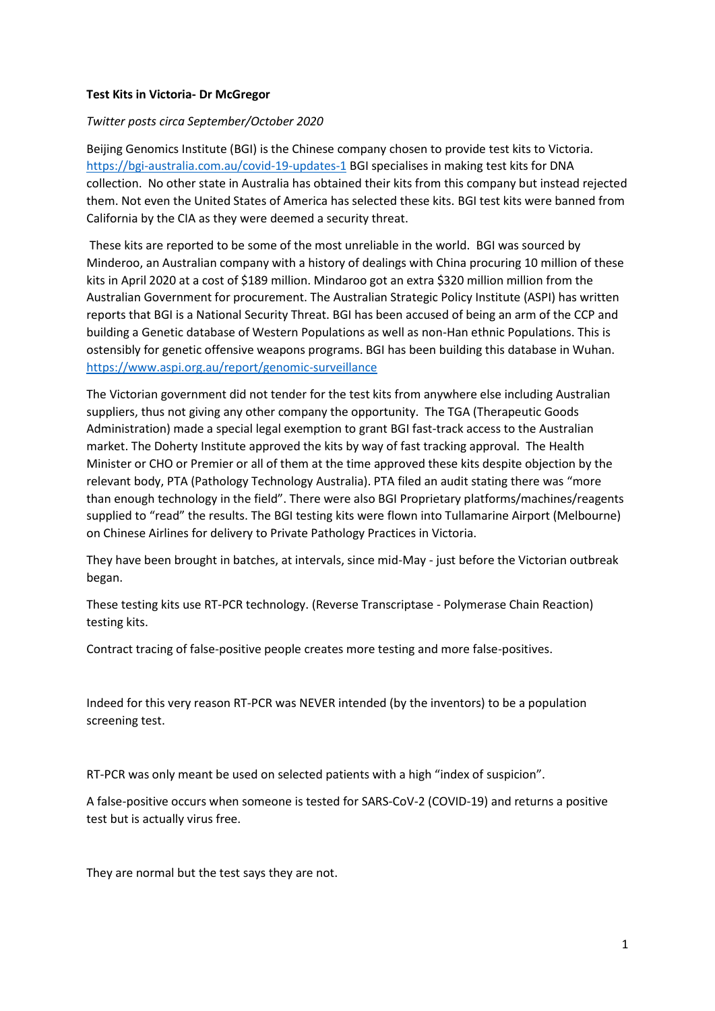## **Test Kits in Victoria- Dr McGregor**

## *Twitter posts circa September/October 2020*

Beijing Genomics Institute (BGI) is the Chinese company chosen to provide test kits to Victoria. <https://bgi-australia.com.au/covid-19-updates-1> BGI specialises in making test kits for DNA collection. No other state in Australia has obtained their kits from this company but instead rejected them. Not even the United States of America has selected these kits. BGI test kits were banned from California by the CIA as they were deemed a security threat.

These kits are reported to be some of the most unreliable in the world. BGI was sourced by Minderoo, an Australian company with a history of dealings with China procuring 10 million of these kits in April 2020 at a cost of \$189 million. Mindaroo got an extra \$320 million million from the Australian Government for procurement. The Australian Strategic Policy Institute (ASPI) has written reports that BGI is a National Security Threat. BGI has been accused of being an arm of the CCP and building a Genetic database of Western Populations as well as non-Han ethnic Populations. This is ostensibly for genetic offensive weapons programs. BGI has been building this database in Wuhan. <https://www.aspi.org.au/report/genomic-surveillance>

The Victorian government did not tender for the test kits from anywhere else including Australian suppliers, thus not giving any other company the opportunity. The TGA (Therapeutic Goods Administration) made a special legal exemption to grant BGI fast-track access to the Australian market. The Doherty Institute approved the kits by way of fast tracking approval. The Health Minister or CHO or Premier or all of them at the time approved these kits despite objection by the relevant body, PTA (Pathology Technology Australia). PTA filed an audit stating there was "more than enough technology in the field". There were also BGI Proprietary platforms/machines/reagents supplied to "read" the results. The BGI testing kits were flown into Tullamarine Airport (Melbourne) on Chinese Airlines for delivery to Private Pathology Practices in Victoria.

They have been brought in batches, at intervals, since mid-May - just before the Victorian outbreak began.

These testing kits use RT-PCR technology. (Reverse Transcriptase - Polymerase Chain Reaction) testing kits.

Contract tracing of false-positive people creates more testing and more false-positives.

Indeed for this very reason RT-PCR was NEVER intended (by the inventors) to be a population screening test.

RT-PCR was only meant be used on selected patients with a high "index of suspicion".

A false-positive occurs when someone is tested for SARS-CoV-2 (COVID-19) and returns a positive test but is actually virus free.

They are normal but the test says they are not.